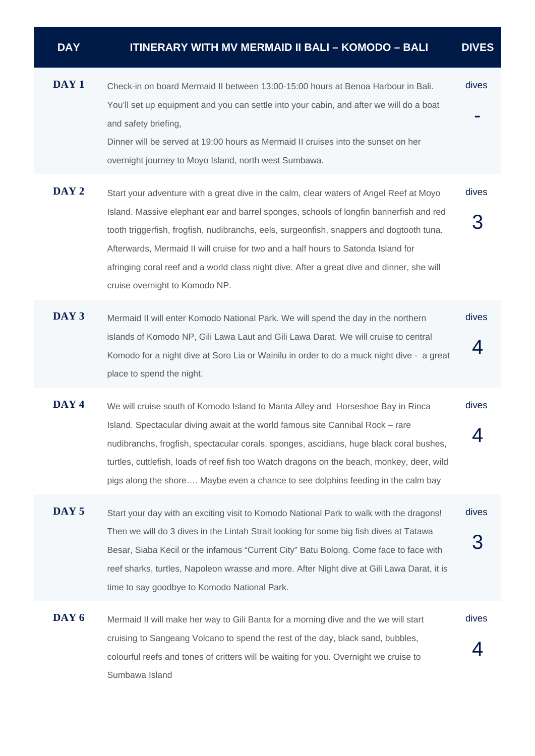| <b>DAY</b>       | <b>ITINERARY WITH MV MERMAID II BALI - KOMODO - BALI</b>                                                                                                                                                                                                                                                                                                                                                                                                                                          | <b>DIVES</b> |
|------------------|---------------------------------------------------------------------------------------------------------------------------------------------------------------------------------------------------------------------------------------------------------------------------------------------------------------------------------------------------------------------------------------------------------------------------------------------------------------------------------------------------|--------------|
| DAY <sub>1</sub> | Check-in on board Mermaid II between 13:00-15:00 hours at Benoa Harbour in Bali.<br>You'll set up equipment and you can settle into your cabin, and after we will do a boat<br>and safety briefing,<br>Dinner will be served at 19:00 hours as Mermaid II cruises into the sunset on her<br>overnight journey to Moyo Island, north west Sumbawa.                                                                                                                                                 | dives        |
| DAY 2            | Start your adventure with a great dive in the calm, clear waters of Angel Reef at Moyo<br>Island. Massive elephant ear and barrel sponges, schools of longfin bannerfish and red<br>tooth triggerfish, frogfish, nudibranchs, eels, surgeonfish, snappers and dogtooth tuna.<br>Afterwards, Mermaid II will cruise for two and a half hours to Satonda Island for<br>afringing coral reef and a world class night dive. After a great dive and dinner, she will<br>cruise overnight to Komodo NP. | dives        |
| DAY 3            | Mermaid II will enter Komodo National Park. We will spend the day in the northern<br>islands of Komodo NP, Gili Lawa Laut and Gili Lawa Darat. We will cruise to central<br>Komodo for a night dive at Soro Lia or Wainilu in order to do a muck night dive - a great<br>place to spend the night.                                                                                                                                                                                                | dives<br>4   |
| DAY <sub>4</sub> | We will cruise south of Komodo Island to Manta Alley and Horseshoe Bay in Rinca<br>Island. Spectacular diving await at the world famous site Cannibal Rock - rare<br>nudibranchs, frogfish, spectacular corals, sponges, ascidians, huge black coral bushes,<br>turtles, cuttlefish, loads of reef fish too Watch dragons on the beach, monkey, deer, wild<br>pigs along the shore Maybe even a chance to see dolphins feeding in the calm bay                                                    | dives<br>4   |

- **DAY 5** Start your day with an exciting visit to Komodo National Park to walk with the dragons! Then we will do 3 dives in the Lintah Strait looking for some big fish dives at Tatawa Besar, Siaba Kecil or the infamous "Current City" Batu Bolong. Come face to face with reef sharks, turtles, Napoleon wrasse and more. After Night dive at Gili Lawa Darat, it is time to say goodbye to Komodo National Park. dives 3
- DAY 6 Mermaid II will make her way to Gili Banta for a morning dive and the we will start cruising to Sangeang Volcano to spend the rest of the day, black sand, bubbles, colourful reefs and tones of critters will be waiting for you. Overnight we cruise to Sumbawa Island dives 4